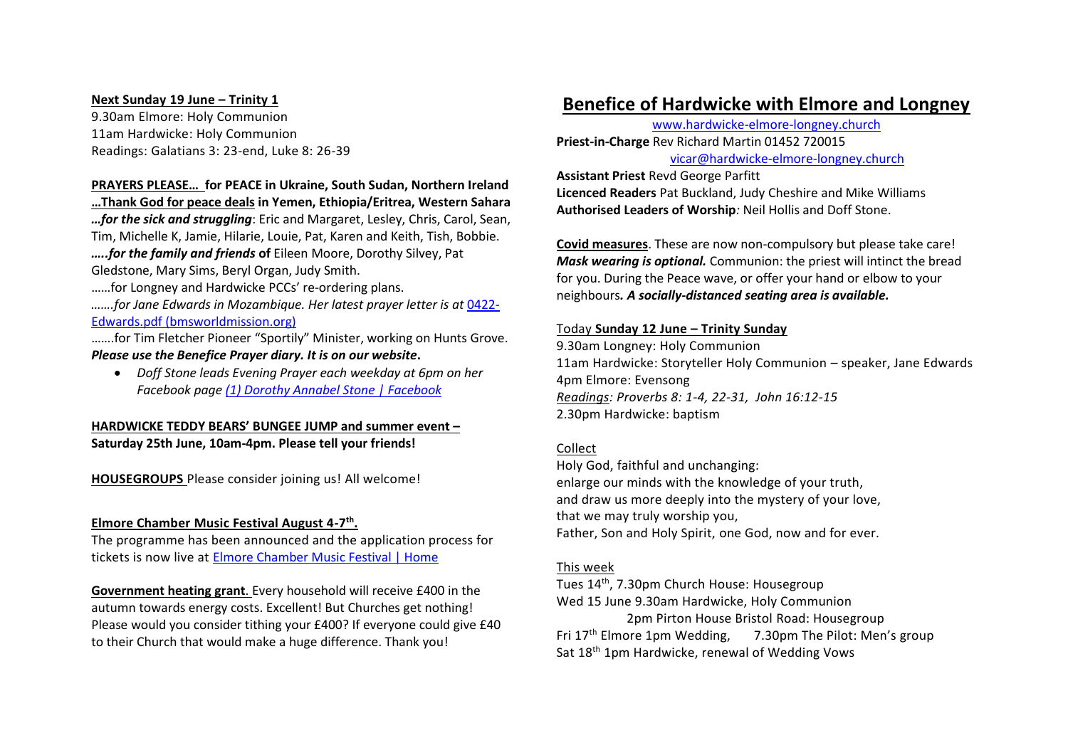#### **Next Sunday 19 June – Trinity 1**

9.30am Elmore: Holy Communion 11am Hardwicke: Holy Communion Readings: Galatians 3: 23-end, Luke 8: 26-39

#### **PRAYERS PLEASE… for PEACE in Ukraine, South Sudan, Northern Ireland**

**…Thank God for peace deals in Yemen, Ethiopia/Eritrea, Western Sahara** *…for the sick and struggling*: Eric and Margaret, Lesley, Chris, Carol, Sean, Tim, Michelle K, Jamie, Hilarie, Louie, Pat, Karen and Keith, Tish, Bobbie. *…..for the family and friends* **of** Eileen Moore, Dorothy Silvey, Pat Gledstone, Mary Sims, Beryl Organ, Judy Smith.

……for Longney and Hardwicke PCCs' re-ordering plans.

*…….for Jane Edwards in Mozambique. Her latest prayer letter is at* 0422- Edwards.pdf (bmsworldmission.org)

…….for Tim Fletcher Pioneer "Sportily" Minister, working on Hunts Grove. *Please use the Benefice Prayer diary. It is on our website***.**

• *Doff Stone leads Evening Prayer each weekday at 6pm on her Facebook page (1) Dorothy Annabel Stone | Facebook*

### **HARDWICKE TEDDY BEARS' BUNGEE JUMP and summer event – Saturday 25th June, 10am-4pm. Please tell your friends!**

**HOUSEGROUPS** Please consider joining us! All welcome!

### **Elmore Chamber Music Festival August 4-7 th .**

The programme has been announced and the application process for tickets is now live at Elmore Chamber Music Festival | Home

**Government heating grant**. Every household will receive £400 in the autumn towards energy costs. Excellent! But Churches get nothing! Please would you consider tithing your £400? If everyone could give £40 to their Church that would make a huge difference. Thank you!

# **Benefice of Hardwicke with Elmore and Longney**

www.hardwicke-elmore-longney.church **Priest-in-Charge** Rev Richard Martin 01452 720015 vicar@hardwicke-elmore-longney.church

**Assistant Priest** Revd George Parfitt **Licenced Readers** Pat Buckland, Judy Cheshire and Mike Williams **Authorised Leaders of Worship***:* Neil Hollis and Doff Stone.

**Covid measures**. These are now non-compulsory but please take care! *Mask wearing is optional.* Communion: the priest will intinct the bread for you. During the Peace wave, or offer your hand or elbow to your neighbours*. A socially-distanced seating area is available.*

#### Today **Sunday 12 June – Trinity Sunday**

9.30am Longney: Holy Communion 11am Hardwicke: Storyteller Holy Communion – speaker, Jane Edwards 4pm Elmore: Evensong *Readings: Proverbs 8: 1-4, 22-31, John 16:12-15* 2.30pm Hardwicke: baptism

#### Collect

Holy God, faithful and unchanging: enlarge our minds with the knowledge of your truth, and draw us more deeply into the mystery of your love, that we may truly worship you, Father, Son and Holy Spirit, one God, now and for ever.

#### This week

Tues 14th, 7.30pm Church House: Housegroup Wed 15 June 9.30am Hardwicke, Holy Communion 2pm Pirton House Bristol Road: Housegroup Fri 17th Elmore 1pm Wedding, 7.30pm The Pilot: Men's group Sat 18<sup>th</sup> 1pm Hardwicke, renewal of Wedding Vows